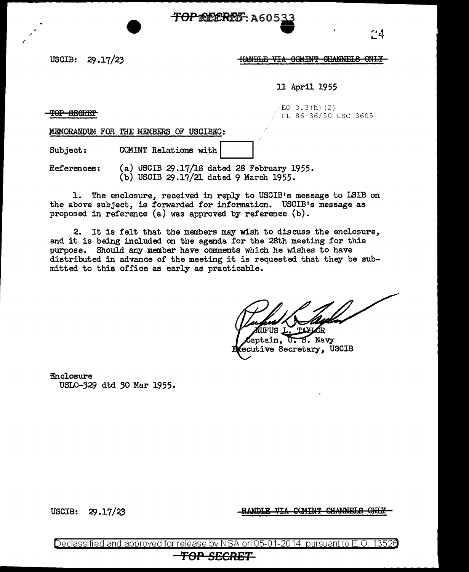# **TOPEEERES**: A605 —<br>●<br>●

### USCIB: 29.17/23 **HANDLE VIA OOMINT SHANNELS ONLY**

11 April 1955

TOP SECRET

. ·

 $ED 3.3(h) (2)$ PL 86-36/50 USC 3605

MEMORANDUM FOR THE MEMBERS OF USCIBEC:

Subject: COMINT Relations with

References: (a) USCIB 29.17/18 dated 28 February 1955.  $(b)$  USCIB 29.17/21 dated 9 March 1955.

1. The enclosure, received in reply to USCIB's message to LSIB on the above subject, is forwarded for information. USCIB's message as proposed in reference (a) was approved by reference (b).

2. It is felt that the members may wish to discuss the enclosure, and it is being included on the agenda for the 2Sth meeting for this purpose. Should any member have comments which he wishes to have distributed in advance of the meeting it is requested that they be submitted to this office as early as practicable.

ΊQ

eptain,  $U.S.$  Navy ecutive Secretary, USCIB

Enclosure USL0-329 dtd 30 Mar 1955.

USCIB: 29 .17/23

<del>COMINT CHANNELS ONLY</del> ANDIT UTA

Declassified and approved for release by NSA on 05-01-2014 pursuant to E.O. 13526

**TOP SECRET**